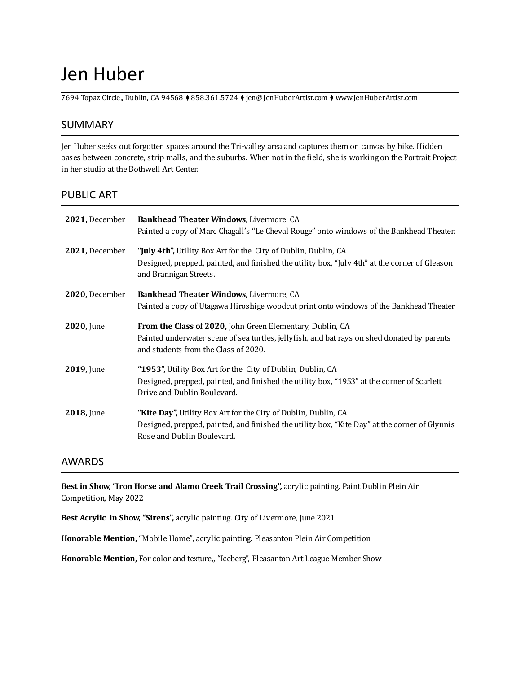# Jen Huber

7694 Topaz Circle,, Dublin, CA 94568 ⧫ 858.361.5724 ⧫ jen@JenHuberArtist.com ⧫ www.JenHuberArtist.com

## SUMMARY

Jen Huber seeks out forgotten spaces around the Tri-valley area and captures them on canvas by bike. Hidden oases between concrete, strip malls, and the suburbs. When not in the ield, she is working on the Portrait Project in her studio at the Bothwell Art Center.

#### PUBLIC ART

| 2021, December | Bankhead Theater Windows, Livermore, CA<br>Painted a copy of Marc Chagall's "Le Cheval Rouge" onto windows of the Bankhead Theater.                                                              |
|----------------|--------------------------------------------------------------------------------------------------------------------------------------------------------------------------------------------------|
| 2021, December | "July 4th", Utility Box Art for the City of Dublin, Dublin, CA<br>Designed, prepped, painted, and finished the utility box, "July 4th" at the corner of Gleason<br>and Brannigan Streets.        |
| 2020, December | Bankhead Theater Windows, Livermore, CA<br>Painted a copy of Utagawa Hiroshige woodcut print onto windows of the Bankhead Theater.                                                               |
| $2020$ , June  | From the Class of 2020, John Green Elementary, Dublin, CA<br>Painted underwater scene of sea turtles, jellyfish, and bat rays on shed donated by parents<br>and students from the Class of 2020. |
| 2019, June     | "1953", Utility Box Art for the City of Dublin, Dublin, CA<br>Designed, prepped, painted, and finished the utility box, "1953" at the corner of Scarlett<br>Drive and Dublin Boulevard.          |
| 2018, June     | "Kite Day", Utility Box Art for the City of Dublin, Dublin, CA<br>Designed, prepped, painted, and finished the utility box, "Kite Day" at the corner of Glynnis<br>Rose and Dublin Boulevard.    |

#### AWARDS

**Best in Show, "Iron Horse and Alamo Creek Trail Crossing",** acrylic painting. Paint Dublin Plein Air Competition, May 2022

**Best Acrylic in Show, "Sirens",** acrylic painting. City of Livermore, June 2021

**Honorable Mention,** "Mobile Home", acrylic painting. Pleasanton Plein Air Competition

**Honorable Mention,** For color and texture,, "Iceberg", Pleasanton Art League Member Show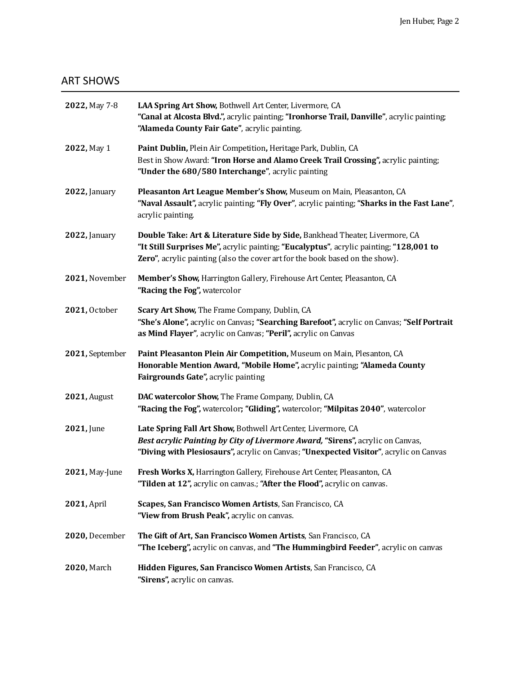# ART SHOWS

| 2022, May 7-8       | LAA Spring Art Show, Bothwell Art Center, Livermore, CA<br>"Canal at Alcosta Blvd.", acrylic painting; "Ironhorse Trail, Danville", acrylic painting;<br>"Alameda County Fair Gate", acrylic painting.                                                |
|---------------------|-------------------------------------------------------------------------------------------------------------------------------------------------------------------------------------------------------------------------------------------------------|
| 2022, May 1         | Paint Dublin, Plein Air Competition, Heritage Park, Dublin, CA<br>Best in Show Award: "Iron Horse and Alamo Creek Trail Crossing", acrylic painting;<br>"Under the 680/580 Interchange", acrylic painting                                             |
| 2022, January       | Pleasanton Art League Member's Show, Museum on Main, Pleasanton, CA<br>"Naval Assault", acrylic painting; "Fly Over", acrylic painting; "Sharks in the Fast Lane",<br>acrylic painting.                                                               |
| 2022, January       | Double Take: Art & Literature Side by Side, Bankhead Theater, Livermore, CA<br>"It Still Surprises Me", acrylic painting; "Eucalyptus", acrylic painting; "128,001 to<br>Zero", acrylic painting (also the cover art for the book based on the show). |
| 2021, November      | Member's Show, Harrington Gallery, Firehouse Art Center, Pleasanton, CA<br>"Racing the Fog", watercolor                                                                                                                                               |
| 2021, October       | Scary Art Show, The Frame Company, Dublin, CA<br>"She's Alone", acrylic on Canvas; "Searching Barefoot", acrylic on Canvas; "Self Portrait<br>as Mind Flayer", acrylic on Canvas; "Peril", acrylic on Canvas                                          |
| 2021, September     | Paint Pleasanton Plein Air Competition, Museum on Main, Plesanton, CA<br>Honorable Mention Award, "Mobile Home", acrylic painting; "Alameda County<br>Fairgrounds Gate", acrylic painting                                                             |
| <b>2021, August</b> | DAC watercolor Show, The Frame Company, Dublin, CA<br>"Racing the Fog", watercolor; "Gliding", watercolor; "Milpitas 2040", watercolor                                                                                                                |
| 2021, June          | Late Spring Fall Art Show, Bothwell Art Center, Livermore, CA<br>Best acrylic Painting by City of Livermore Award, "Sirens", acrylic on Canvas,<br>"Diving with Plesiosaurs", acrylic on Canvas; "Unexpected Visitor", acrylic on Canvas              |
| 2021, May-June      | Fresh Works X, Harrington Gallery, Firehouse Art Center, Pleasanton, CA<br>"Tilden at 12", acrylic on canvas.; "After the Flood", acrylic on canvas.                                                                                                  |
| 2021, April         | Scapes, San Francisco Women Artists, San Francisco, CA<br>"View from Brush Peak", acrylic on canvas.                                                                                                                                                  |
| 2020, December      | The Gift of Art, San Francisco Women Artists, San Francisco, CA<br>"The Iceberg", acrylic on canvas, and "The Hummingbird Feeder", acrylic on canvas                                                                                                  |
| 2020, March         | Hidden Figures, San Francisco Women Artists, San Francisco, CA<br>"Sirens", acrylic on canvas.                                                                                                                                                        |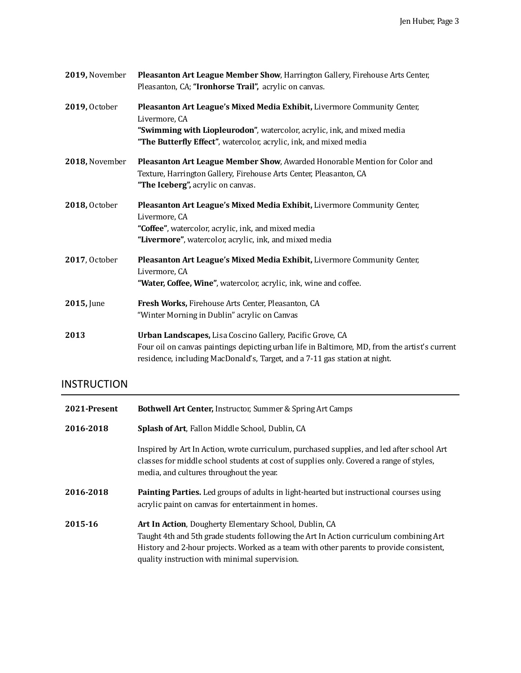| 2019, November | Pleasanton Art League Member Show, Harrington Gallery, Firehouse Arts Center,<br>Pleasanton, CA; "Ironhorse Trail", acrylic on canvas.                                                                                                   |
|----------------|------------------------------------------------------------------------------------------------------------------------------------------------------------------------------------------------------------------------------------------|
| 2019, October  | Pleasanton Art League's Mixed Media Exhibit, Livermore Community Center,<br>Livermore, CA                                                                                                                                                |
|                | "Swimming with Liopleurodon", watercolor, acrylic, ink, and mixed media<br>"The Butterfly Effect", watercolor, acrylic, ink, and mixed media                                                                                             |
| 2018, November | Pleasanton Art League Member Show, Awarded Honorable Mention for Color and<br>Texture, Harrington Gallery, Firehouse Arts Center, Pleasanton, CA<br>"The Iceberg", acrylic on canvas.                                                    |
| 2018, October  | Pleasanton Art League's Mixed Media Exhibit, Livermore Community Center,<br>Livermore, CA<br>"Coffee", watercolor, acrylic, ink, and mixed media<br>"Livermore", watercolor, acrylic, ink, and mixed media                               |
| 2017, October  | Pleasanton Art League's Mixed Media Exhibit, Livermore Community Center,<br>Livermore, CA<br>"Water, Coffee, Wine", watercolor, acrylic, ink, wine and coffee.                                                                           |
| 2015, June     | <b>Fresh Works, Firehouse Arts Center, Pleasanton, CA</b><br>"Winter Morning in Dublin" acrylic on Canvas                                                                                                                                |
| 2013           | Urban Landscapes, Lisa Coscino Gallery, Pacific Grove, CA<br>Four oil on canvas paintings depicting urban life in Baltimore, MD, from the artist's current<br>residence, including MacDonald's, Target, and a 7-11 gas station at night. |

# INSTRUCTION

| 2021-Present | <b>Bothwell Art Center, Instructor, Summer &amp; Spring Art Camps</b>                                                                                                                                                                                                                        |
|--------------|----------------------------------------------------------------------------------------------------------------------------------------------------------------------------------------------------------------------------------------------------------------------------------------------|
| 2016-2018    | <b>Splash of Art, Fallon Middle School, Dublin, CA</b>                                                                                                                                                                                                                                       |
|              | Inspired by Art In Action, wrote curriculum, purchased supplies, and led after school Art<br>classes for middle school students at cost of supplies only. Covered a range of styles,<br>media, and cultures throughout the year.                                                             |
| 2016-2018    | <b>Painting Parties.</b> Led groups of adults in light-hearted but instructional courses using<br>acrylic paint on canvas for entertainment in homes.                                                                                                                                        |
| 2015-16      | Art In Action, Dougherty Elementary School, Dublin, CA<br>Taught 4th and 5th grade students following the Art In Action curriculum combining Art<br>History and 2-hour projects. Worked as a team with other parents to provide consistent,<br>quality instruction with minimal supervision. |